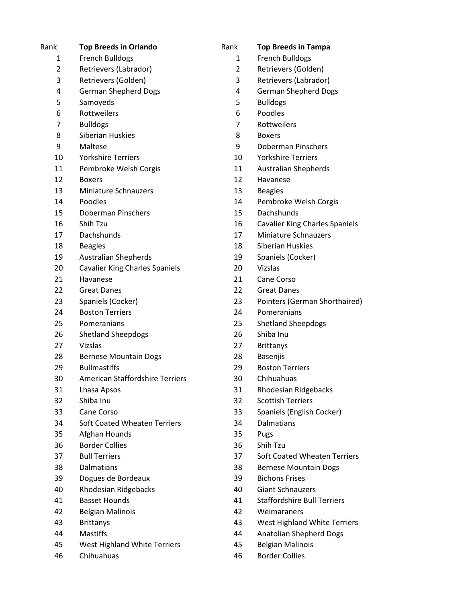| Rank           | <b>Top Breeds in Orlando</b>           | Rank | <b>Top Breeds in Tampa</b>            |
|----------------|----------------------------------------|------|---------------------------------------|
| 1              | <b>French Bulldogs</b>                 | 1    | French Bulldogs                       |
| $\overline{2}$ | Retrievers (Labrador)                  | 2    | Retrievers (Golden)                   |
| 3              | Retrievers (Golden)                    | 3    | Retrievers (Labrador)                 |
| 4              | <b>German Shepherd Dogs</b>            | 4    | <b>German Shepherd Dogs</b>           |
| 5              | Samoyeds                               | 5    | <b>Bulldogs</b>                       |
| 6              | Rottweilers                            | 6    | Poodles                               |
| 7              | <b>Bulldogs</b>                        | 7    | Rottweilers                           |
| 8              | Siberian Huskies                       | 8    | <b>Boxers</b>                         |
| 9              | Maltese                                | 9    | Doberman Pinschers                    |
| 10             | <b>Yorkshire Terriers</b>              | 10   | <b>Yorkshire Terriers</b>             |
| 11             | Pembroke Welsh Corgis                  | 11   | <b>Australian Shepherds</b>           |
| 12             | <b>Boxers</b>                          | 12   | Havanese                              |
| 13             | <b>Miniature Schnauzers</b>            | 13   | <b>Beagles</b>                        |
| 14             | Poodles                                | 14   | Pembroke Welsh Corgis                 |
| 15             | Doberman Pinschers                     | 15   | <b>Dachshunds</b>                     |
| 16             | Shih Tzu                               | 16   | <b>Cavalier King Charles Spaniels</b> |
| 17             | Dachshunds                             | 17   | Miniature Schnauzers                  |
| 18             | <b>Beagles</b>                         | 18   | Siberian Huskies                      |
| 19             | <b>Australian Shepherds</b>            | 19   | Spaniels (Cocker)                     |
| 20             | <b>Cavalier King Charles Spaniels</b>  | 20   | Vizslas                               |
| 21             | Havanese                               | 21   | Cane Corso                            |
| 22             | <b>Great Danes</b>                     | 22   | <b>Great Danes</b>                    |
| 23             | Spaniels (Cocker)                      | 23   | Pointers (German Shorthaired)         |
| 24             | <b>Boston Terriers</b>                 | 24   | Pomeranians                           |
| 25             | Pomeranians                            | 25   | <b>Shetland Sheepdogs</b>             |
| 26             | <b>Shetland Sheepdogs</b>              | 26   | Shiba Inu                             |
| 27             | Vizslas                                | 27   | <b>Brittanys</b>                      |
| 28             | <b>Bernese Mountain Dogs</b>           | 28   | Basenjis                              |
| 29             | <b>Bullmastiffs</b>                    | 29   | <b>Boston Terriers</b>                |
| 30             | <b>American Staffordshire Terriers</b> | 30   | Chihuahuas                            |
| 31             | Lhasa Apsos                            | 31   | Rhodesian Ridgebacks                  |
| 32             | Shiba Inu                              | 32   | <b>Scottish Terriers</b>              |
| 33             | Cane Corso                             | 33   | Spaniels (English Cocker)             |
| 34             | <b>Soft Coated Wheaten Terriers</b>    | 34   | Dalmatians                            |
| 35             | Afghan Hounds                          | 35   | Pugs                                  |
| 36             | <b>Border Collies</b>                  | 36   | Shih Tzu                              |
| 37             | <b>Bull Terriers</b>                   | 37   | Soft Coated Wheaten Terriers          |
| 38             | Dalmatians                             | 38   | <b>Bernese Mountain Dogs</b>          |
| 39             | Dogues de Bordeaux                     | 39   | <b>Bichons Frises</b>                 |
| 40             | <b>Rhodesian Ridgebacks</b>            | 40   | <b>Giant Schnauzers</b>               |
| 41             | <b>Basset Hounds</b>                   | 41   | <b>Staffordshire Bull Terriers</b>    |
| 42             | <b>Belgian Malinois</b>                | 42   | Weimaraners                           |
| 43             | <b>Brittanys</b>                       | 43   | West Highland White Terriers          |
| 44             | <b>Mastiffs</b>                        | 44   | <b>Anatolian Shepherd Dogs</b>        |
| 45             | West Highland White Terriers           | 45   | <b>Belgian Malinois</b>               |
| 46             | Chihuahuas                             | 46   | <b>Border Collies</b>                 |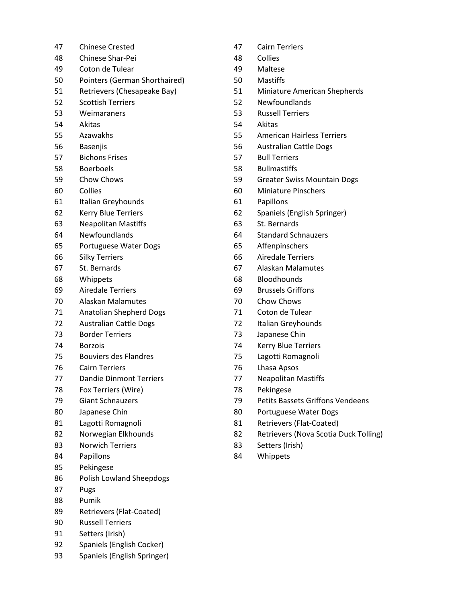| 47 | <b>Chinese Crested</b>          | 47 | Cairn 1        |
|----|---------------------------------|----|----------------|
| 48 | <b>Chinese Shar-Pei</b>         | 48 | Collies        |
| 49 | Coton de Tulear                 | 49 | Maltes         |
| 50 | Pointers (German Shorthaired)   | 50 | Mastif         |
| 51 | Retrievers (Chesapeake Bay)     | 51 | Miniat         |
| 52 | <b>Scottish Terriers</b>        | 52 | Newfo          |
| 53 | Weimaraners                     | 53 | Russel         |
| 54 | Akitas                          | 54 | Akitas         |
| 55 | Azawakhs                        | 55 | Amerio         |
| 56 | <b>Basenjis</b>                 | 56 | Austra         |
| 57 | <b>Bichons Frises</b>           | 57 | <b>Bull Te</b> |
| 58 | <b>Boerboels</b>                | 58 | <b>Bullma</b>  |
| 59 | Chow Chows                      | 59 | Greate         |
| 60 | Collies                         | 60 | Miniat         |
| 61 | Italian Greyhounds              | 61 | Papillo        |
| 62 | Kerry Blue Terriers             | 62 | Spanie         |
| 63 | <b>Neapolitan Mastiffs</b>      | 63 | St. Ber        |
| 64 | Newfoundlands                   | 64 | Standa         |
| 65 | Portuguese Water Dogs           | 65 | Affenp         |
| 66 | <b>Silky Terriers</b>           | 66 | Aireda         |
| 67 | St. Bernards                    | 67 | Alaska         |
| 68 | Whippets                        | 68 | Bloodh         |
| 69 | <b>Airedale Terriers</b>        | 69 | <b>Brusse</b>  |
| 70 | <b>Alaskan Malamutes</b>        | 70 | Chow           |
| 71 | <b>Anatolian Shepherd Dogs</b>  | 71 | Coton          |
| 72 | <b>Australian Cattle Dogs</b>   | 72 | Italian        |
| 73 | <b>Border Terriers</b>          | 73 | Japane         |
| 74 | <b>Borzois</b>                  | 74 | Kerry I        |
| 75 | <b>Bouviers des Flandres</b>    | 75 | Lagott         |
| 76 | <b>Cairn Terriers</b>           | 76 | Lhasa          |
| 77 | <b>Dandie Dinmont Terriers</b>  | 77 | Neapo          |
| 78 | Fox Terriers (Wire)             | 78 | Peking         |
| 79 | <b>Giant Schnauzers</b>         | 79 | Petits         |
| 80 | Japanese Chin                   | 80 | Portug         |
| 81 | Lagotti Romagnoli               | 81 | Retriey        |
| 82 | Norwegian Elkhounds             | 82 | Retriey        |
| 83 | <b>Norwich Terriers</b>         | 83 | Setter:        |
| 84 | Papillons                       | 84 | Whipp          |
| 85 | Pekingese                       |    |                |
| 86 | <b>Polish Lowland Sheepdogs</b> |    |                |
| 87 | Pugs                            |    |                |
| 88 | Pumik                           |    |                |
| 89 | Retrievers (Flat-Coated)        |    |                |
| 90 | <b>Russell Terriers</b>         |    |                |
| 91 | Setters (Irish)                 |    |                |

- 92 Spaniels (English Cocker)
- 93 Spaniels (English Springer)
- 47 Cairn Terriers
- 
- 49 Maltese
- 1) 50 Mastiffs
	- 51 Miniature American Shepherds
	- 52 Newfoundlands
	- 53 Russell Terriers
		-
	- 55 American Hairless Terriers
	- 56 Australian Cattle Dogs
	- 57 Bull Terriers
	- 58 Bullmastiffs
	- 59 Greater Swiss Mountain Dogs
	- 60 Miniature Pinschers
	- 61 Papillons
	- 62 Spaniels (English Springer)
	- 63 St. Bernards
	- 64 Standard Schnauzers
	- 65 Affenpinschers
	- 66 Airedale Terriers
	- 67 Alaskan Malamutes
	- 68 Bloodhounds
	- 69 Brussels Griffons
	- 70 Chow Chows
	- 71 Coton de Tulear
	- 72 Italian Greyhounds
	- 73 Japanese Chin
	- 74 Kerry Blue Terriers
	- 75 Lagotti Romagnoli
	- 76 Lhasa Apsos
	- 77 Neapolitan Mastiffs
	- 78 Pekingese
	- 79 Petits Bassets Griffons Vendeens
	- 80 Portuguese Water Dogs
	- 81 Retrievers (Flat-Coated)
	- 82 Retrievers (Nova Scotia Duck Tolling)
	- 83 Setters (Irish)
	- 84 Whippets